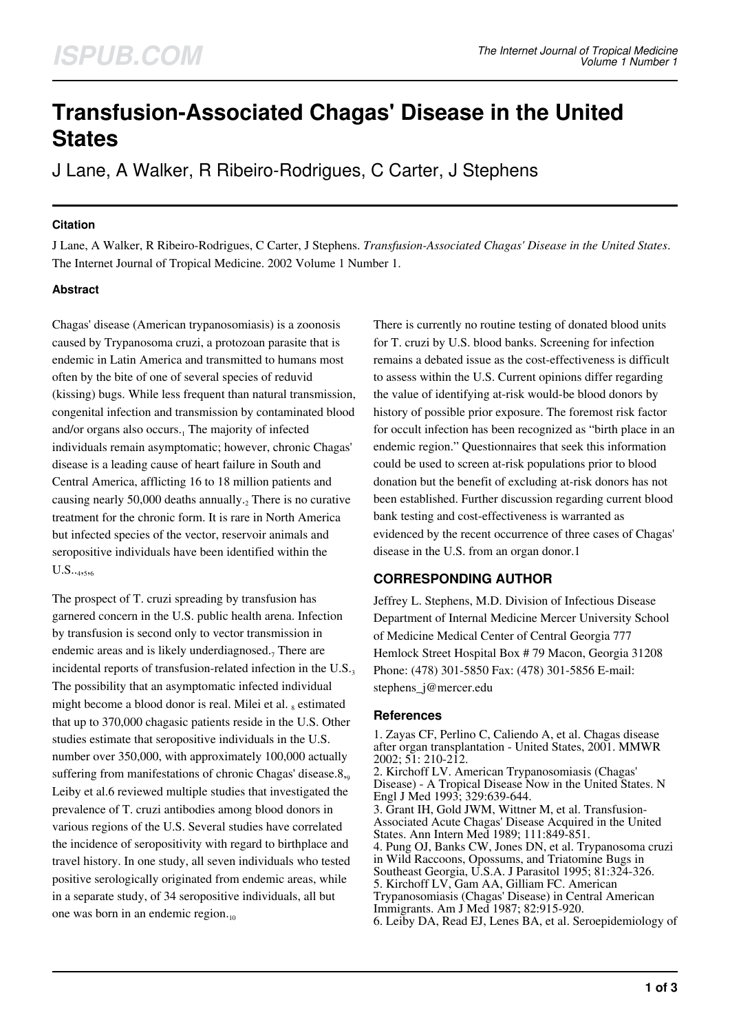# **Transfusion-Associated Chagas' Disease in the United States**

J Lane, A Walker, R Ribeiro-Rodrigues, C Carter, J Stephens

### **Citation**

J Lane, A Walker, R Ribeiro-Rodrigues, C Carter, J Stephens. *Transfusion-Associated Chagas' Disease in the United States*. The Internet Journal of Tropical Medicine. 2002 Volume 1 Number 1.

## **Abstract**

Chagas' disease (American trypanosomiasis) is a zoonosis caused by Trypanosoma cruzi, a protozoan parasite that is endemic in Latin America and transmitted to humans most often by the bite of one of several species of reduvid (kissing) bugs. While less frequent than natural transmission, congenital infection and transmission by contaminated blood and/or organs also occurs.<sub>1</sub> The majority of infected individuals remain asymptomatic; however, chronic Chagas' disease is a leading cause of heart failure in South and Central America, afflicting 16 to 18 million patients and causing nearly 50,000 deaths annually. $_2$  There is no curative treatment for the chronic form. It is rare in North America but infected species of the vector, reservoir animals and seropositive individuals have been identified within the  $U.S.._{4,5,6}$ 

The prospect of T. cruzi spreading by transfusion has garnered concern in the U.S. public health arena. Infection by transfusion is second only to vector transmission in endemic areas and is likely underdiagnosed.<sub>7</sub> There are incidental reports of transfusion-related infection in the  $U.S.3$ The possibility that an asymptomatic infected individual might become a blood donor is real. Milei et al. 8 estimated that up to 370,000 chagasic patients reside in the U.S. Other studies estimate that seropositive individuals in the U.S. number over 350,000, with approximately 100,000 actually suffering from manifestations of chronic Chagas' disease. $8_{.9}$ Leiby et al.6 reviewed multiple studies that investigated the prevalence of T. cruzi antibodies among blood donors in various regions of the U.S. Several studies have correlated the incidence of seropositivity with regard to birthplace and travel history. In one study, all seven individuals who tested positive serologically originated from endemic areas, while in a separate study, of 34 seropositive individuals, all but one was born in an endemic region. $_{10}$ 

There is currently no routine testing of donated blood units for T. cruzi by U.S. blood banks. Screening for infection remains a debated issue as the cost-effectiveness is difficult to assess within the U.S. Current opinions differ regarding the value of identifying at-risk would-be blood donors by history of possible prior exposure. The foremost risk factor for occult infection has been recognized as "birth place in an endemic region." Questionnaires that seek this information could be used to screen at-risk populations prior to blood donation but the benefit of excluding at-risk donors has not been established. Further discussion regarding current blood bank testing and cost-effectiveness is warranted as evidenced by the recent occurrence of three cases of Chagas' disease in the U.S. from an organ donor.1

## **CORRESPONDING AUTHOR**

Jeffrey L. Stephens, M.D. Division of Infectious Disease Department of Internal Medicine Mercer University School of Medicine Medical Center of Central Georgia 777 Hemlock Street Hospital Box # 79 Macon, Georgia 31208 Phone: (478) 301-5850 Fax: (478) 301-5856 E-mail: stephens\_j@mercer.edu

## **References**

1. Zayas CF, Perlino C, Caliendo A, et al. Chagas disease after organ transplantation - United States, 2001. MMWR 2002; 51: 210-212. 2. Kirchoff LV. American Trypanosomiasis (Chagas' Disease) - A Tropical Disease Now in the United States. N Engl J Med 1993; 329:639-644. 3. Grant IH, Gold JWM, Wittner M, et al. Transfusion-Associated Acute Chagas' Disease Acquired in the United States. Ann Intern Med 1989; 111:849-851. 4. Pung OJ, Banks CW, Jones DN, et al. Trypanosoma cruzi in Wild Raccoons, Opossums, and Triatomine Bugs in Southeast Georgia, U.S.A. J Parasitol 1995; 81:324-326. 5. Kirchoff LV, Gam AA, Gilliam FC. American Trypanosomiasis (Chagas' Disease) in Central American Immigrants. Am J Med 1987; 82:915-920. 6. Leiby DA, Read EJ, Lenes BA, et al. Seroepidemiology of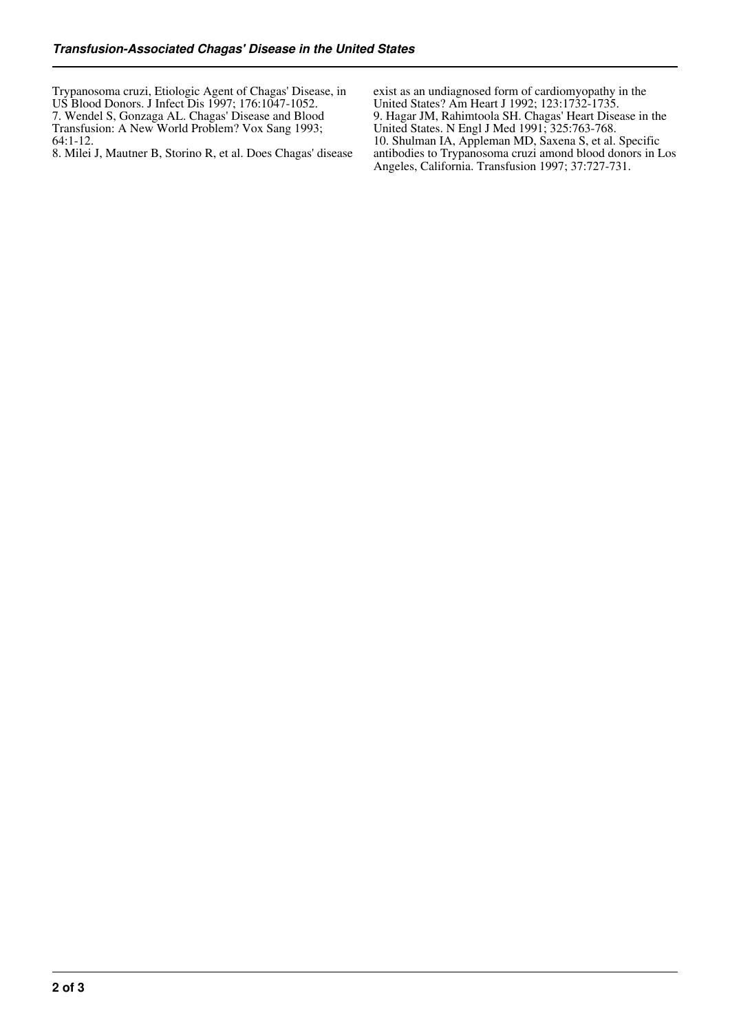Trypanosoma cruzi, Etiologic Agent of Chagas' Disease, in US Blood Donors. J Infect Dis 1997; 176:1047-1052. 7. Wendel S, Gonzaga AL. Chagas' Disease and Blood Transfusion: A New World Problem? Vox Sang 1993; 64:1-12.

8. Milei J, Mautner B, Storino R, et al. Does Chagas' disease

exist as an undiagnosed form of cardiomyopathy in the United States? Am Heart J 1992; 123:1732-1735. 9. Hagar JM, Rahimtoola SH. Chagas' Heart Disease in the United States. N Engl J Med 1991; 325:763-768. 10. Shulman IA, Appleman MD, Saxena S, et al. Specific antibodies to Trypanosoma cruzi amond blood donors in Los Angeles, California. Transfusion 1997; 37:727-731.